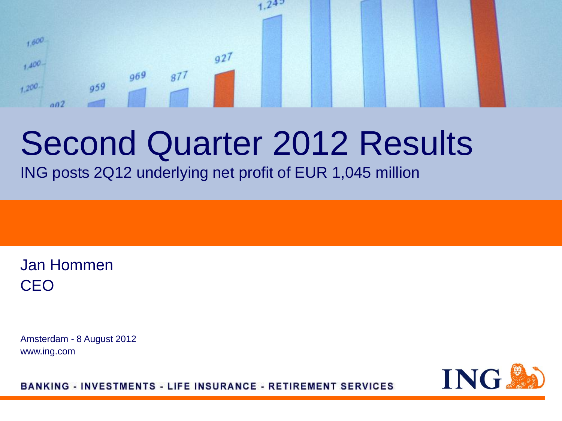#### $1,600$  $927$  $1.400 969$  $877$  $959$  $+200$  $002$

 $24^{5}$ 

## Second Quarter 2012 Results

ING posts 2Q12 underlying net profit of EUR 1,045 million

Jan Hommen CEO

Amsterdam - 8 August 2012 www.ing.com

ING.

**BANKING - INVESTMENTS - LIFE INSURANCE - RETIREMENT SERVICES**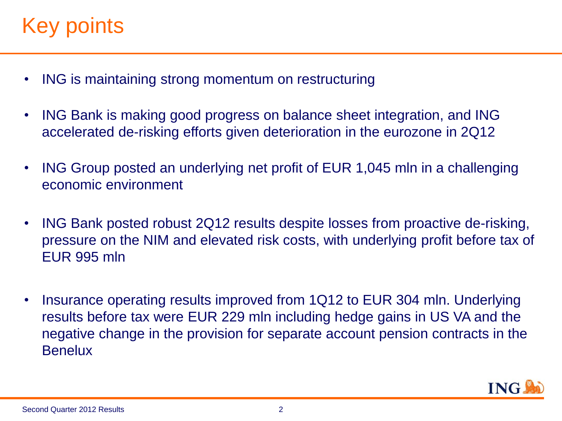### Key points

- ING is maintaining strong momentum on restructuring
- ING Bank is making good progress on balance sheet integration, and ING accelerated de-risking efforts given deterioration in the eurozone in 2Q12
- ING Group posted an underlying net profit of EUR 1,045 mln in a challenging economic environment
- ING Bank posted robust 2Q12 results despite losses from proactive de-risking, pressure on the NIM and elevated risk costs, with underlying profit before tax of EUR 995 mln
- Insurance operating results improved from 1Q12 to EUR 304 mln. Underlying results before tax were EUR 229 mln including hedge gains in US VA and the negative change in the provision for separate account pension contracts in the **Benelux**

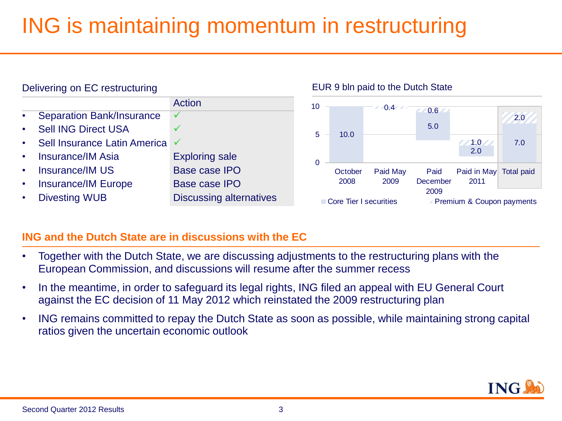### ING is maintaining momentum in restructuring



#### **ING and the Dutch State are in discussions with the EC**

- Together with the Dutch State, we are discussing adjustments to the restructuring plans with the European Commission, and discussions will resume after the summer recess
- In the meantime, in order to safeguard its legal rights, ING filed an appeal with EU General Court against the EC decision of 11 May 2012 which reinstated the 2009 restructuring plan
- ING remains committed to repay the Dutch State as soon as possible, while maintaining strong capital ratios given the uncertain economic outlook

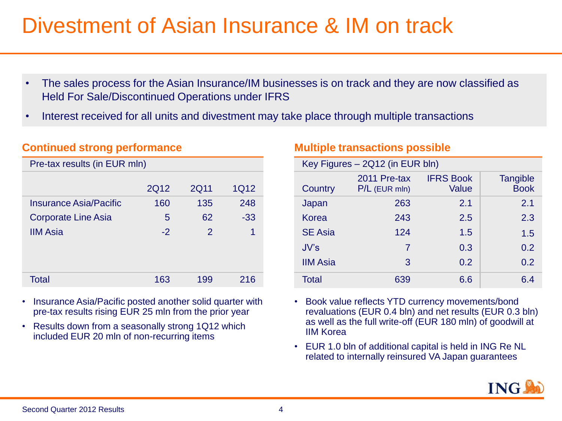### Divestment of Asian Insurance & IM on track

- The sales process for the Asian Insurance/IM businesses is on track and they are now classified as Held For Sale/Discontinued Operations under IFRS
- Interest received for all units and divestment may take place through multiple transactions

#### **Continued strong performance**

| Pre-tax results (in EUR mln)  |      |               |       |
|-------------------------------|------|---------------|-------|
|                               |      |               |       |
|                               | 2Q12 | 2Q11          | 1Q12  |
| <b>Insurance Asia/Pacific</b> | 160  | 135           | 248   |
| <b>Corporate Line Asia</b>    | 5    | 62            | $-33$ |
| <b>IIM Asia</b>               | $-2$ | $\mathcal{P}$ | 1     |
|                               |      |               |       |
|                               |      |               |       |
|                               |      |               |       |
| Total                         | 163  | 199           | 216   |

- Insurance Asia/Pacific posted another solid quarter with pre-tax results rising EUR 25 mln from the prior year
- Results down from a seasonally strong 1Q12 which included EUR 20 mln of non-recurring items

#### **Multiple transactions possible**

| Key Figures - 2Q12 (in EUR bln) |                                 |                           |                                |
|---------------------------------|---------------------------------|---------------------------|--------------------------------|
| Country                         | 2011 Pre-tax<br>$P/L$ (EUR mln) | <b>IFRS Book</b><br>Value | <b>Tangible</b><br><b>Book</b> |
| Japan                           | 263                             | 2.1                       | 2.1                            |
| Korea                           | 243                             | 2.5                       | 2.3                            |
| <b>SE Asia</b>                  | 124                             | 1.5                       | 1.5                            |
| JV's                            | 7                               | 0.3                       | 0.2                            |
| <b>IIM Asia</b>                 | 3                               | 0.2                       | 0.2                            |
| Total                           | 639                             | 6.6                       | 6.4                            |

- Book value reflects YTD currency movements/bond revaluations (EUR 0.4 bln) and net results (EUR 0.3 bln) as well as the full write-off (EUR 180 mln) of goodwill at IIM Korea
- EUR 1.0 bln of additional capital is held in ING Re NL related to internally reinsured VA Japan guarantees

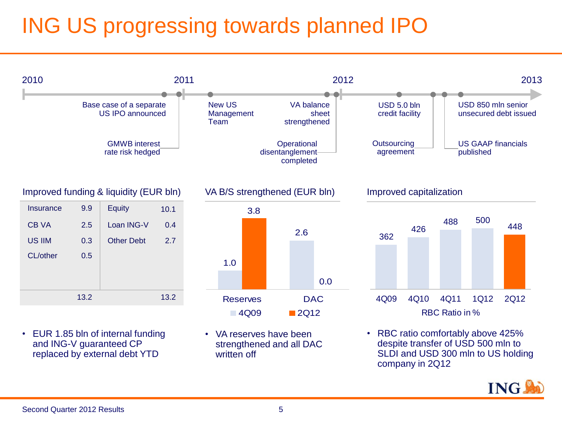### ING US progressing towards planned IPO

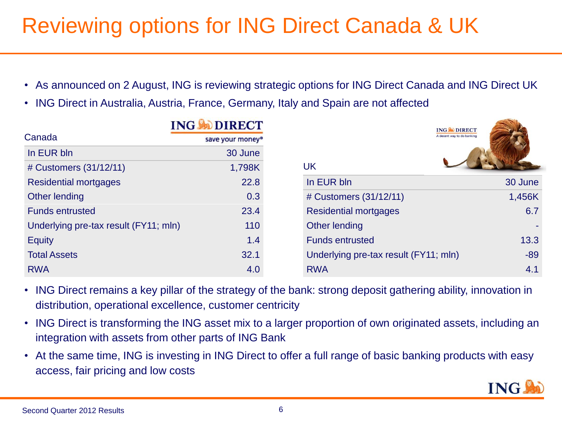### Reviewing options for ING Direct Canada & UK

- As announced on 2 August, ING is reviewing strategic options for ING Direct Canada and ING Direct UK
- ING Direct in Australia, Austria, France, Germany, Italy and Spain are not affected

|                                       | <b>ING SODIRECT</b> | <b>ING CODIRECT</b>                   |         |
|---------------------------------------|---------------------|---------------------------------------|---------|
| Canada                                | save your money®    | A decent way to do banking            |         |
| In EUR bln                            | 30 June             |                                       |         |
| # Customers (31/12/11)                | 1,798K              | UK                                    |         |
| <b>Residential mortgages</b>          | 22.8                | In EUR bln                            | 30 June |
| Other lending                         | 0.3                 | # Customers (31/12/11)                | 1,456K  |
| <b>Funds entrusted</b>                | 23.4                | <b>Residential mortgages</b>          | 6.7     |
| Underlying pre-tax result (FY11; mln) | 110                 | Other lending                         |         |
| <b>Equity</b>                         | 1.4                 | <b>Funds entrusted</b>                | 13.3    |
| <b>Total Assets</b>                   | 32.1                | Underlying pre-tax result (FY11; mln) | $-89$   |
| <b>RWA</b>                            | 4.0                 | <b>RWA</b>                            | 4.1     |

- ING Direct remains a key pillar of the strategy of the bank: strong deposit gathering ability, innovation in distribution, operational excellence, customer centricity
- ING Direct is transforming the ING asset mix to a larger proportion of own originated assets, including an integration with assets from other parts of ING Bank
- At the same time, ING is investing in ING Direct to offer a full range of basic banking products with easy access, fair pricing and low costs

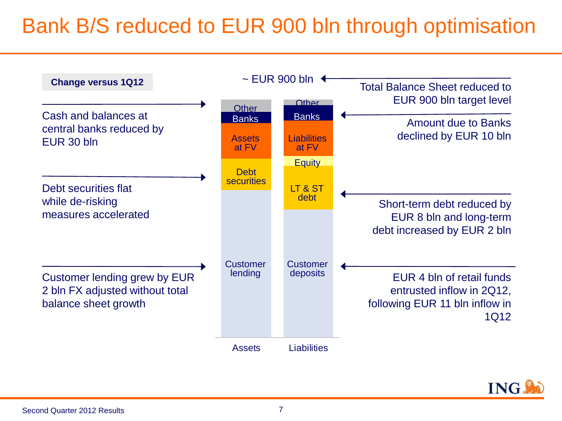### Bank B/S reduced to EUR 900 bln through optimisation



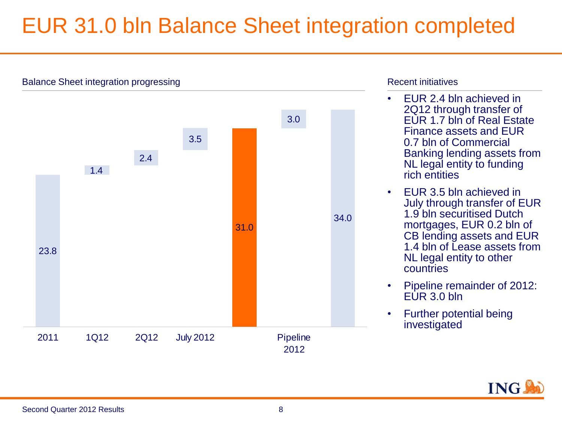### EUR 31.0 bln Balance Sheet integration completed



#### Recent initiatives

- EUR 2.4 bln achieved in 2Q12 through transfer of EUR 1.7 bln of Real Estate Finance assets and EUR 0.7 bln of Commercial Banking lending assets from NL legal entity to funding rich entities
- EUR 3.5 bln achieved in July through transfer of EUR 1.9 bln securitised Dutch mortgages, EUR 0.2 bln of CB lending assets and EUR 1.4 bln of Lease assets from NL legal entity to other countries
- Pipeline remainder of 2012:  $EUR 3.0 bln$
- Further potential being investigated

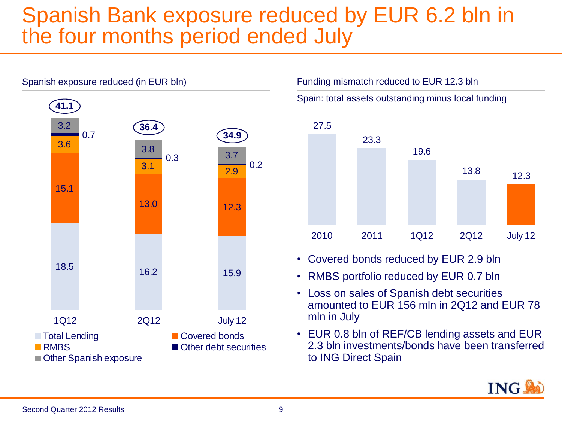#### Spanish Bank exposure reduced by EUR 6.2 bln in the four months period ended July



Spain: total assets outstanding minus local funding



• Covered bonds reduced by EUR 2.9 bln

Funding mismatch reduced to EUR 12.3 bln

- RMBS portfolio reduced by EUR 0.7 bln
- Loss on sales of Spanish debt securities amounted to EUR 156 mln in 2Q12 and EUR 78 mln in July
- EUR 0.8 bln of REF/CB lending assets and EUR 2.3 bln investments/bonds have been transferred to ING Direct Spain

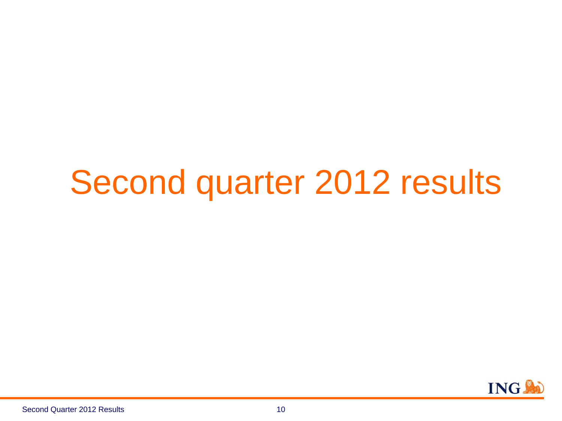## Second quarter 2012 results

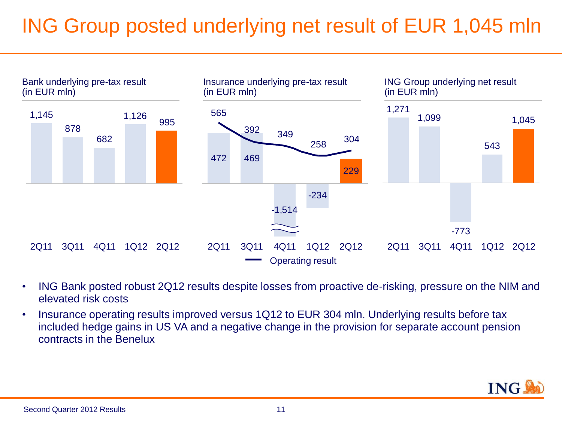### ING Group posted underlying net result of EUR 1,045 mln



- ING Bank posted robust 2Q12 results despite losses from proactive de-risking, pressure on the NIM and elevated risk costs
- Insurance operating results improved versus 1Q12 to EUR 304 mln. Underlying results before tax included hedge gains in US VA and a negative change in the provision for separate account pension contracts in the Benelux

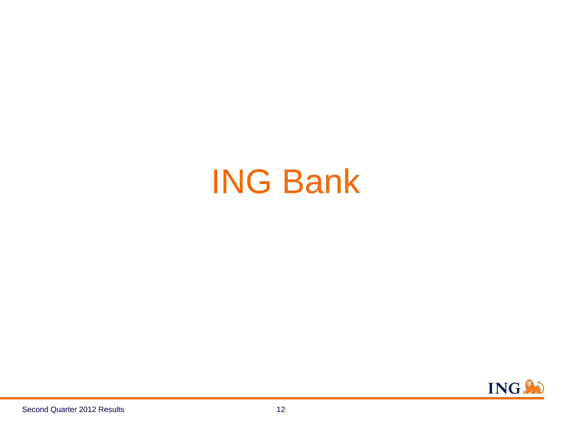## ING Bank

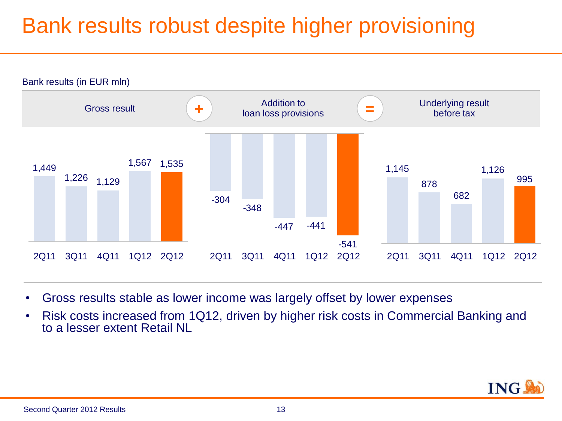### Bank results robust despite higher provisioning



- Gross results stable as lower income was largely offset by lower expenses
- Risk costs increased from 1Q12, driven by higher risk costs in Commercial Banking and to a lesser extent Retail NI

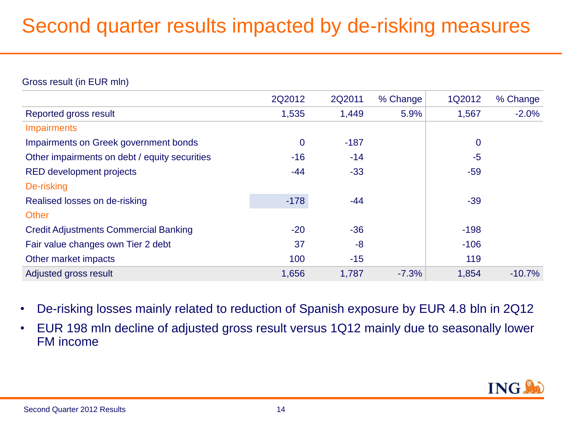#### Second quarter results impacted by de-risking measures

#### Gross result (in EUR mln)

|                                               | 2Q2012      | 2Q2011 | % Change | 1Q2012      | % Change |
|-----------------------------------------------|-------------|--------|----------|-------------|----------|
| Reported gross result                         | 1,535       | 1,449  | 5.9%     | 1,567       | $-2.0%$  |
| <b>Impairments</b>                            |             |        |          |             |          |
| Impairments on Greek government bonds         | $\mathbf 0$ | $-187$ |          | $\mathbf 0$ |          |
| Other impairments on debt / equity securities | $-16$       | $-14$  |          | $-5$        |          |
| <b>RED development projects</b>               | $-44$       | $-33$  |          | $-59$       |          |
| De-risking                                    |             |        |          |             |          |
| Realised losses on de-risking                 | $-178$      | $-44$  |          | $-39$       |          |
| <b>Other</b>                                  |             |        |          |             |          |
| <b>Credit Adjustments Commercial Banking</b>  | $-20$       | $-36$  |          | $-198$      |          |
| Fair value changes own Tier 2 debt            | 37          | $-8$   |          | $-106$      |          |
| Other market impacts                          | 100         | $-15$  |          | 119         |          |
| Adjusted gross result                         | 1,656       | 1,787  | $-7.3%$  | 1,854       | $-10.7%$ |
|                                               |             |        |          |             |          |

- De-risking losses mainly related to reduction of Spanish exposure by EUR 4.8 bln in 2Q12
- EUR 198 mln decline of adjusted gross result versus 1Q12 mainly due to seasonally lower FM income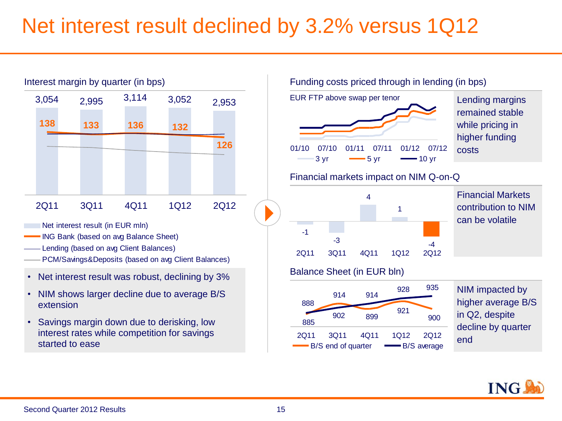### Net interest result declined by 3.2% versus 1Q12



- Net interest result (in EUR mln)
- ING Bank (based on avg Balance Sheet)
- Lending (based on avg Client Balances)
- PCM/Savings&Deposits (based on avg Client Balances)
- Net interest result was robust, declining by 3%
- NIM shows larger decline due to average B/S extension
- Savings margin down due to derisking, low interest rates while competition for savings started to ease

#### Funding costs priced through in lending (in bps)



remained stable while pricing in higher funding costs

#### Financial markets impact on NIM Q-on-Q



Financial Markets contribution to NIM can be volatile

#### Balance Sheet (in EUR bln)



NIM impacted by higher average B/S in Q2, despite decline by quarter end

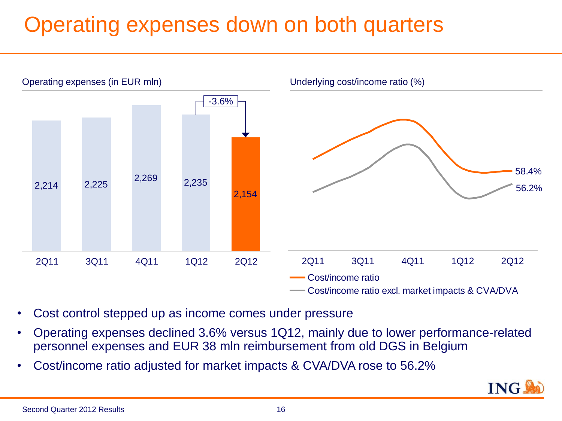### Operating expenses down on both quarters



- Cost control stepped up as income comes under pressure
- Operating expenses declined 3.6% versus 1Q12, mainly due to lower performance-related personnel expenses and EUR 38 mln reimbursement from old DGS in Belgium
- Cost/income ratio adjusted for market impacts & CVA/DVA rose to 56.2%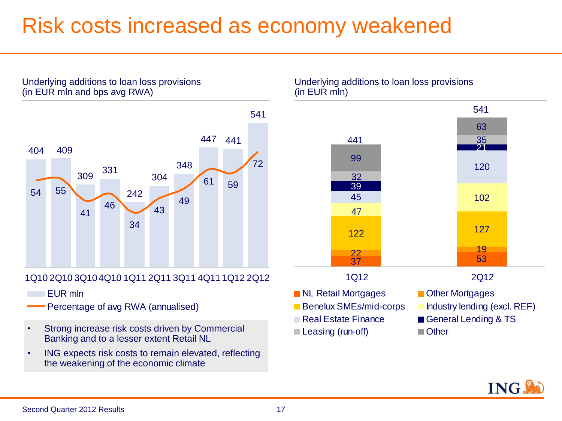#### Risk costs increased as economy weakened

 441 409 <sup>331</sup> 55 59 

#### 1Q10 2Q10 3Q104Q10 1Q11 2Q11 3Q11 4Q111Q12 2Q12

- EUR mln
- Percentage of avg RWA (annualised)

Underlying additions to loan loss provisions

(in EUR mln and bps avg RWA)

- Strong increase risk costs driven by Commercial Banking and to a lesser extent Retail NL
- ING expects risk costs to remain elevated, reflecting the weakening of the economic climate

Underlying additions to loan loss provisions (in EUR mln)



- **NL Retail Mortgages Communist Public Points**
- 
- 
- Leasing (run-off) **Demonstration** Other
- 
- **Benelux SMEs/mid-corps** Industry lending (excl. REF)
- Real Estate Finance General Lending & TS

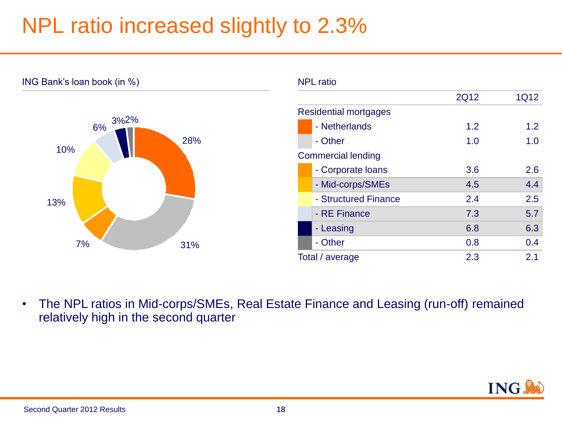### NPL ratio increased slightly to 2.3%



• The NPL ratios in Mid-corps/SMEs, Real Estate Finance and Leasing (run-off) remained relatively high in the second quarter

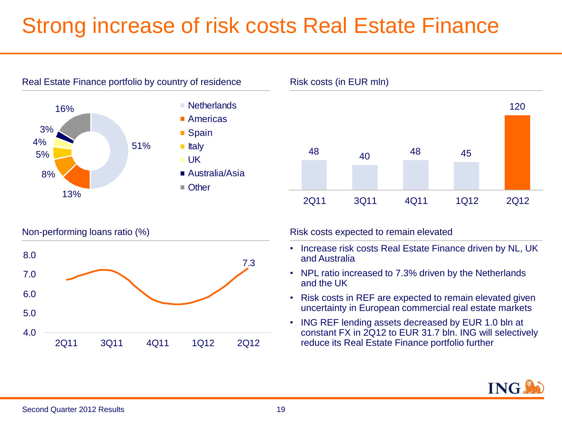### Strong increase of risk costs Real Estate Finance









Non-performing loans ratio (%) expected to remain elevated to remain elevated to remain elevated

- Increase risk costs Real Estate Finance driven by NL, UK and Australia
- NPL ratio increased to 7.3% driven by the Netherlands and the UK
- Risk costs in REF are expected to remain elevated given uncertainty in European commercial real estate markets
- ING REF lending assets decreased by EUR 1.0 bln at constant FX in 2Q12 to EUR 31.7 bln. ING will selectively reduce its Real Estate Finance portfolio further

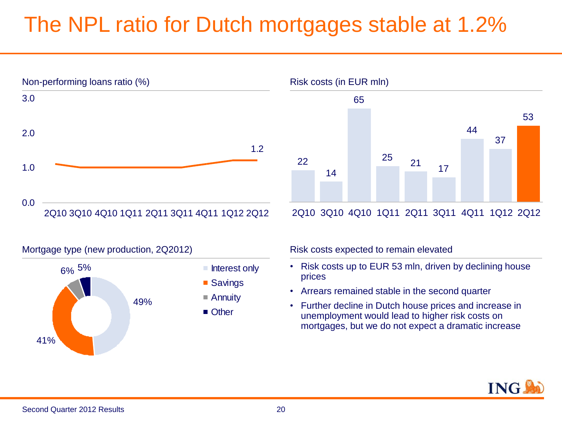### The NPL ratio for Dutch mortgages stable at 1.2%



37 22 14 65  $\frac{25}{17}$  21 17 44 53

2Q10 3Q10 4Q10 1Q11 2Q11 3Q11 4Q11 1Q12 2Q12





- Risk costs up to EUR 53 mln, driven by declining house prices
- Arrears remained stable in the second quarter
- Further decline in Dutch house prices and increase in unemployment would lead to higher risk costs on mortgages, but we do not expect a dramatic increase



Second Quarter 2012 Results

#### 20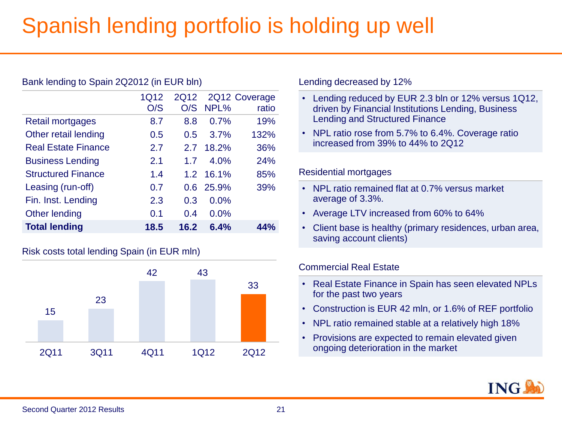### Spanish lending portfolio is holding up well

|                            | 1Q12 | 2Q12 |           | 2Q12 Coverage |
|----------------------------|------|------|-----------|---------------|
|                            | O/S  | O/S  | NPL%      | ratio         |
| Retail mortgages           | 8.7  | 8.8  | 0.7%      | 19%           |
| Other retail lending       | 0.5  | 0.5  | 3.7%      | 132%          |
| <b>Real Estate Finance</b> | 2.7  | 2.7  | 18.2%     | 36%           |
| <b>Business Lending</b>    | 2.1  | 1.7  | 4.0%      | 24%           |
| <b>Structured Finance</b>  | 1.4  |      | 1.2 16.1% | 85%           |
| Leasing (run-off)          | 0.7  | 0.6  | 25.9%     | 39%           |
| Fin. Inst. Lending         | 2.3  | 0.3  | 0.0%      |               |
| Other lending              | 0.1  | 0.4  | 0.0%      |               |
| <b>Total lending</b>       | 18.5 | 16.2 | 6.4%      | 44%           |
|                            |      |      |           |               |

#### Risk costs total lending Spain (in EUR mln)

Bank lending to Spain 2Q2012 (in EUR bln)



Lending decreased by 12%

- Lending reduced by EUR 2.3 bln or 12% versus 1Q12, driven by Financial Institutions Lending, Business Lending and Structured Finance
- NPL ratio rose from 5.7% to 6.4%. Coverage ratio increased from 39% to 44% to 2Q12

#### Residential mortgages

- NPL ratio remained flat at 0.7% versus market average of 3.3%.
- Average LTV increased from 60% to 64%
- Client base is healthy (primary residences, urban area, saving account clients)

#### Commercial Real Estate

- Real Estate Finance in Spain has seen elevated NPLs for the past two years
- Construction is EUR 42 mln, or 1.6% of REF portfolio
- NPL ratio remained stable at a relatively high 18%
- Provisions are expected to remain elevated given ongoing deterioration in the market

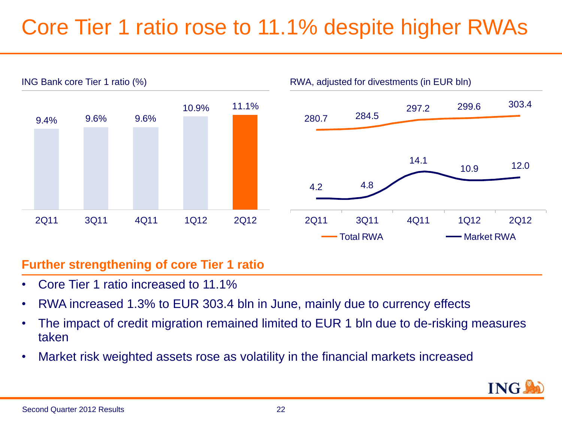### Core Tier 1 ratio rose to 11.1% despite higher RWAs



#### **Further strengthening of core Tier 1 ratio**

- Core Tier 1 ratio increased to 11.1%
- RWA increased 1.3% to EUR 303.4 bln in June, mainly due to currency effects
- The impact of credit migration remained limited to EUR 1 bln due to de-risking measures taken
- Market risk weighted assets rose as volatility in the financial markets increased

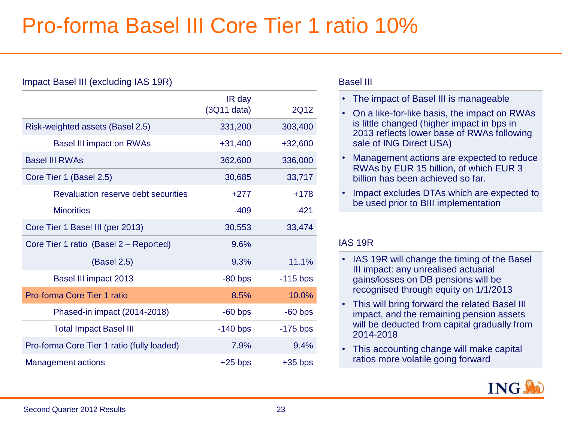### Pro-forma Basel III Core Tier 1 ratio 10%

| Impact Basel III (excluding IAS 19R)       |                          |            |
|--------------------------------------------|--------------------------|------------|
|                                            | IR day<br>$(3Q11)$ data) | 2Q12       |
| Risk-weighted assets (Basel 2.5)           | 331,200                  | 303,400    |
| <b>Basel III impact on RWAs</b>            | $+31,400$                | $+32,600$  |
| <b>Basel III RWAs</b>                      | 362,600                  | 336,000    |
| Core Tier 1 (Basel 2.5)                    | 30,685                   | 33,717     |
| Revaluation reserve debt securities        | $+277$                   | $+178$     |
| <b>Minorities</b>                          | $-409$                   | $-421$     |
| Core Tier 1 Basel III (per 2013)           | 30,553                   | 33,474     |
| Core Tier 1 ratio (Basel 2 - Reported)     | 9.6%                     |            |
| (Basel 2.5)                                | 9.3%                     | 11.1%      |
| Basel III impact 2013                      | $-80$ bps                | $-115$ bps |
| Pro-forma Core Tier 1 ratio                | 8.5%                     | 10.0%      |
| Phased-in impact (2014-2018)               | $-60$ bps                | $-60$ bps  |
| <b>Total Impact Basel III</b>              | $-140$ bps               | $-175$ bps |
| Pro-forma Core Tier 1 ratio (fully loaded) | 7.9%                     | 9.4%       |
| <b>Management actions</b>                  | $+25$ bps                | $+35$ bps  |

#### Basel III

- The impact of Basel III is manageable
- On a like-for-like basis, the impact on RWAs is little changed (higher impact in bps in 2013 reflects lower base of RWAs following sale of ING Direct USA)
- Management actions are expected to reduce RWAs by EUR 15 billion, of which EUR 3 billion has been achieved so far.
- Impact excludes DTAs which are expected to be used prior to BIII implementation

#### IAS 19R

- IAS 19R will change the timing of the Basel III impact: any unrealised actuarial gains/losses on DB pensions will be recognised through equity on 1/1/2013
- This will bring forward the related Basel III impact, and the remaining pension assets will be deducted from capital gradually from 2014-2018
- This accounting change will make capital ratios more volatile going forward

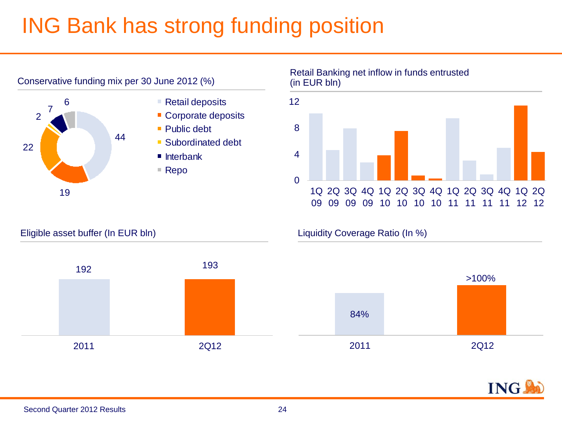### ING Bank has strong funding position



Retail Banking net inflow in funds entrusted (in EUR bln)







#### Eligible asset buffer (In EUR bln) Liquidity Coverage Ratio (In %)

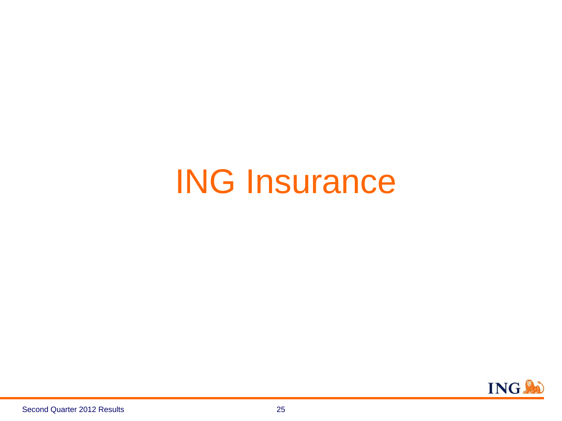## ING Insurance

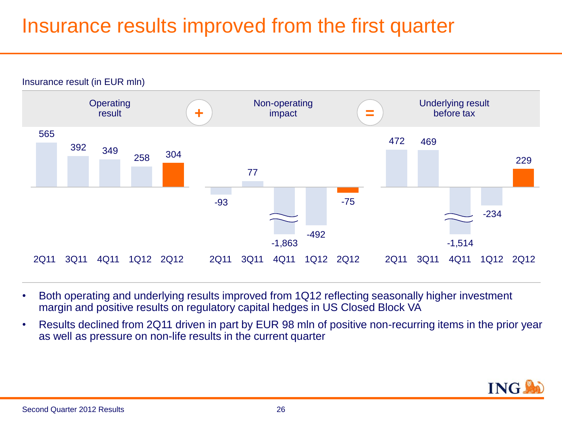#### Insurance results improved from the first quarter



- Both operating and underlying results improved from 1Q12 reflecting seasonally higher investment margin and positive results on regulatory capital hedges in US Closed Block VA
- Results declined from 2Q11 driven in part by EUR 98 mln of positive non-recurring items in the prior year as well as pressure on non-life results in the current quarter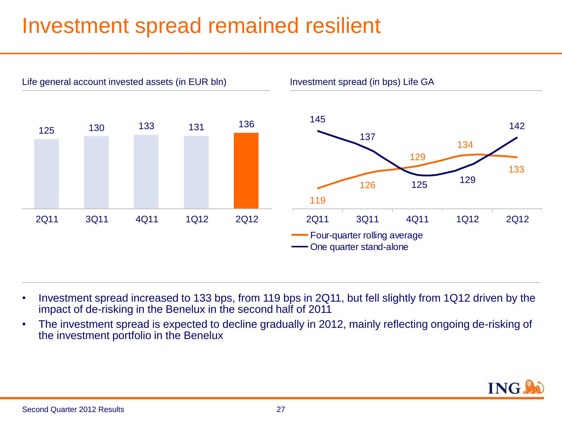### Investment spread remained resilient



- Investment spread increased to 133 bps, from 119 bps in 2Q11, but fell slightly from 1Q12 driven by the impact of de-risking in the Benelux in the second half of 2011
- The investment spread is expected to decline gradually in 2012, mainly reflecting ongoing de-risking of the investment portfolio in the Benelux

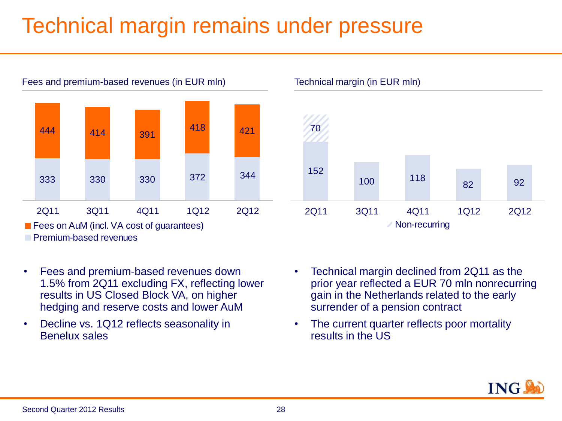### Technical margin remains under pressure



**Premium-based revenues** 

- Fees and premium-based revenues down 1.5% from 2Q11 excluding FX, reflecting lower results in US Closed Block VA, on higher hedging and reserve costs and lower AuM
- Decline vs. 1Q12 reflects seasonality in Benelux sales



2Q11 3Q11 4Q11 1Q12 2Q12 Non-recurring

• The current quarter reflects poor mortality results in the US

100 118



82 92

152

70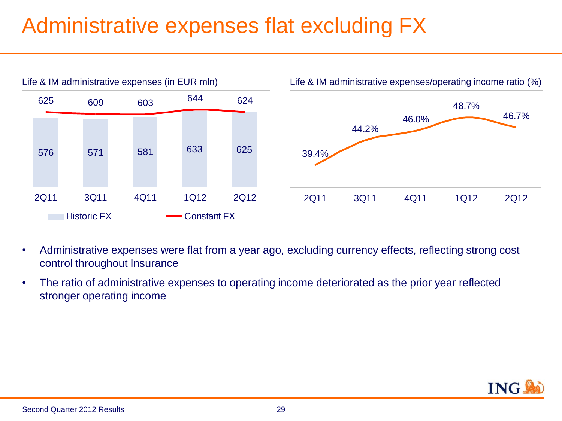### Administrative expenses flat excluding FX



- Administrative expenses were flat from a year ago, excluding currency effects, reflecting strong cost control throughout Insurance
- The ratio of administrative expenses to operating income deteriorated as the prior year reflected stronger operating income

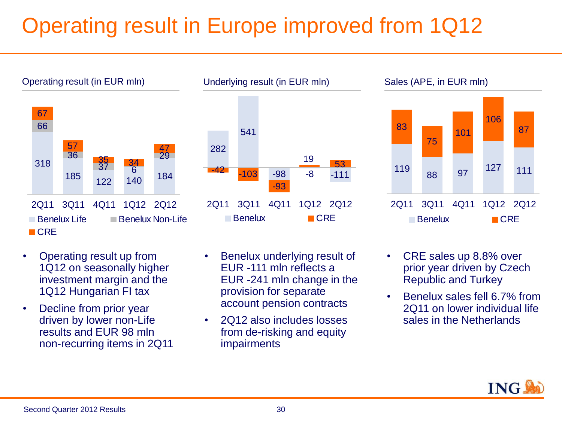## Operating result in Europe improved from 1Q12





- Operating result up from 1Q12 on seasonally higher investment margin and the 1Q12 Hungarian FI tax
- Decline from prior year driven by lower non-Life results and EUR 98 mln non-recurring items in 2Q11
- Benelux underlying result of EUR -111 mln reflects a EUR -241 mln change in the provision for separate account pension contracts
- 2Q12 also includes losses from de-risking and equity impairments





- CRE sales up 8.8% over prior year driven by Czech Republic and Turkey
- Benelux sales fell 6.7% from 2Q11 on lower individual life sales in the Netherlands

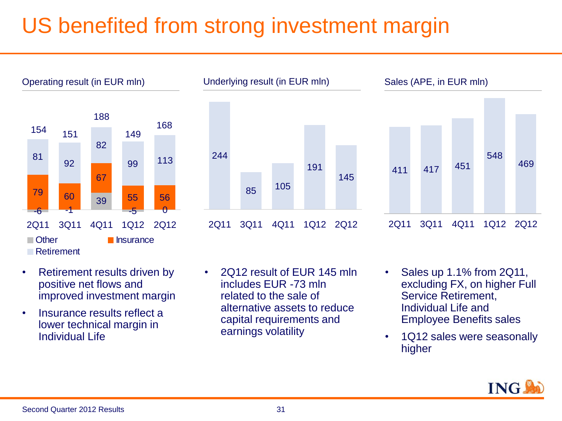### US benefited from strong investment margin







- Retirement results driven by positive net flows and improved investment margin
- Insurance results reflect a lower technical margin in Individual Life
- 2Q12 result of EUR 145 mln includes EUR -73 mln related to the sale of alternative assets to reduce capital requirements and earnings volatility
- Sales up 1.1% from 2Q11, excluding FX, on higher Full Service Retirement, Individual Life and Employee Benefits sales
- 1Q12 sales were seasonally higher

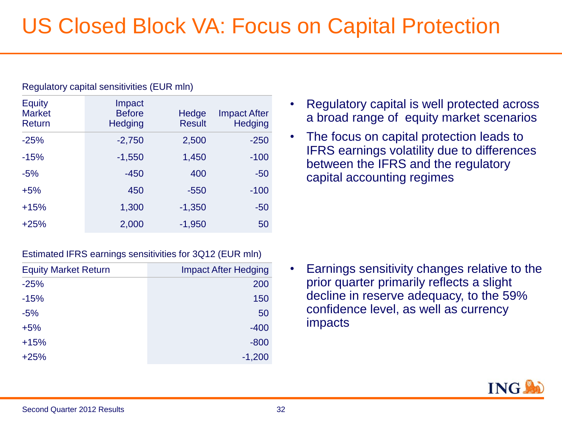| <b>Equity</b><br><b>Market</b><br>Return | Impact<br><b>Before</b><br><b>Hedging</b> | Hedge<br><b>Result</b> | <b>Impact After</b><br><b>Hedging</b> |
|------------------------------------------|-------------------------------------------|------------------------|---------------------------------------|
| $-25%$                                   | $-2,750$                                  | 2,500                  | $-250$                                |
| $-15%$                                   | $-1,550$                                  | 1,450                  | $-100$                                |
| $-5%$                                    | $-450$                                    | 400                    | $-50$                                 |
| $+5%$                                    | 450                                       | $-550$                 | $-100$                                |
| $+15%$                                   | 1,300                                     | $-1,350$               | $-50$                                 |
| $+25%$                                   | 2,000                                     | $-1,950$               | 50                                    |

#### Regulatory capital sensitivities (EUR mln)

- Regulatory capital is well protected across a broad range of equity market scenarios
- The focus on capital protection leads to IFRS earnings volatility due to differences between the IFRS and the regulatory capital accounting regimes

#### Estimated IFRS earnings sensitivities for 3Q12 (EUR mln)

| <b>Equity Market Return</b> | <b>Impact After Hedging</b> |
|-----------------------------|-----------------------------|
| $-25%$                      | 200                         |
| $-15%$                      | 150                         |
| $-5%$                       | 50                          |
| $+5%$                       | $-400$                      |
| $+15%$                      | $-800$                      |
| $+25%$                      | $-1,200$                    |

• Earnings sensitivity changes relative to the prior quarter primarily reflects a slight decline in reserve adequacy, to the 59% confidence level, as well as currency impacts

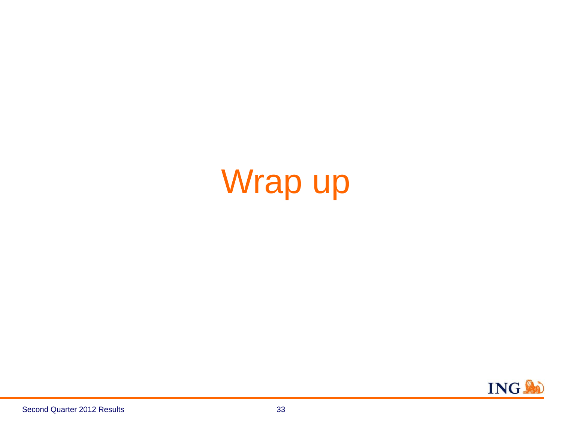# Wrap up

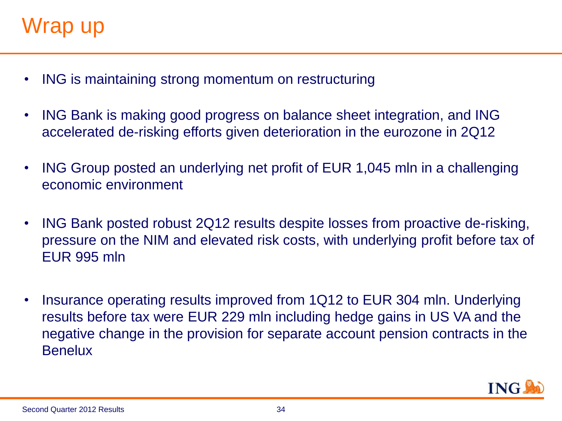- ING is maintaining strong momentum on restructuring
- ING Bank is making good progress on balance sheet integration, and ING accelerated de-risking efforts given deterioration in the eurozone in 2Q12
- ING Group posted an underlying net profit of EUR 1,045 mln in a challenging economic environment
- ING Bank posted robust 2Q12 results despite losses from proactive de-risking, pressure on the NIM and elevated risk costs, with underlying profit before tax of EUR 995 mln
- Insurance operating results improved from 1Q12 to EUR 304 mln. Underlying results before tax were EUR 229 mln including hedge gains in US VA and the negative change in the provision for separate account pension contracts in the **Benelux**